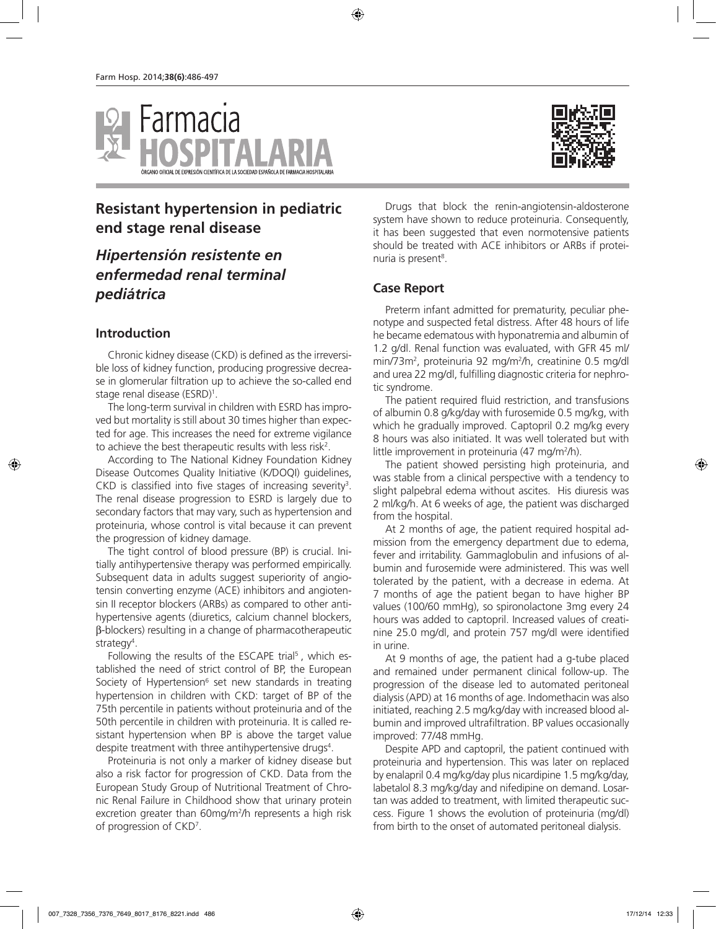

# **Resistant hypertension in pediatric end stage renal disease**

# *Hipertensión resistente en enfermedad renal terminal pediátrica*

### **Introduction**

Chronic kidney disease (CKD) is defined as the irreversible loss of kidney function, producing progressive decrease in glomerular filtration up to achieve the so-called end stage renal disease (ESRD)1 .

The long-term survival in children with ESRD has improved but mortality is still about 30 times higher than expected for age. This increases the need for extreme vigilance to achieve the best therapeutic results with less risk<sup>2</sup>.

According to The National Kidney Foundation Kidney Disease Outcomes Quality Initiative (K/DOQI) guidelines, CKD is classified into five stages of increasing severity<sup>3</sup>. The renal disease progression to ESRD is largely due to secondary factors that may vary, such as hypertension and proteinuria, whose control is vital because it can prevent the progression of kidney damage.

The tight control of blood pressure (BP) is crucial. Initially antihypertensive therapy was performed empirically. Subsequent data in adults suggest superiority of angiotensin converting enzyme (ACE) inhibitors and angiotensin II receptor blockers (ARBs) as compared to other antihypertensive agents (diuretics, calcium channel blockers, β-blockers) resulting in a change of pharmacotherapeutic strategy<sup>4</sup>.

Following the results of the ESCAPE trial<sup>5</sup>, which established the need of strict control of BP, the European Society of Hypertension<sup>6</sup> set new standards in treating hypertension in children with CKD: target of BP of the 75th percentile in patients without proteinuria and of the 50th percentile in children with proteinuria. It is called resistant hypertension when BP is above the target value despite treatment with three antihypertensive drugs<sup>4</sup>.

Proteinuria is not only a marker of kidney disease but also a risk factor for progression of CKD. Data from the European Study Group of Nutritional Treatment of Chronic Renal Failure in Childhood show that urinary protein excretion greater than 60mg/m2 /h represents a high risk of progression of CKD<sup>7</sup>.

Drugs that block the renin-angiotensin-aldosterone system have shown to reduce proteinuria. Consequently, it has been suggested that even normotensive patients should be treated with ACE inhibitors or ARBs if proteinuria is present<sup>8</sup>.

### **Case Report**

Preterm infant admitted for prematurity, peculiar phenotype and suspected fetal distress. After 48 hours of life he became edematous with hyponatremia and albumin of 1.2 g/dl. Renal function was evaluated, with GFR 45 ml/ min/73m<sup>2</sup>, proteinuria 92 mg/m<sup>2</sup>/h, creatinine 0.5 mg/dl and urea 22 mg/dl, fulfilling diagnostic criteria for nephrotic syndrome.

The patient required fluid restriction, and transfusions of albumin 0.8 g/kg/day with furosemide 0.5 mg/kg, with which he gradually improved. Captopril 0.2 mg/kg every 8 hours was also initiated. It was well tolerated but with little improvement in proteinuria (47 mg/m<sup>2</sup>/h).

The patient showed persisting high proteinuria, and was stable from a clinical perspective with a tendency to slight palpebral edema without ascites. His diuresis was 2 ml/kg/h. At 6 weeks of age, the patient was discharged from the hospital.

At 2 months of age, the patient required hospital admission from the emergency department due to edema, fever and irritability. Gammaglobulin and infusions of albumin and furosemide were administered. This was well tolerated by the patient, with a decrease in edema. At 7 months of age the patient began to have higher BP values (100/60 mmHg), so spironolactone 3mg every 24 hours was added to captopril. Increased values of creatinine 25.0 mg/dl, and protein 757 mg/dl were identified in urine.

At 9 months of age, the patient had a g-tube placed and remained under permanent clinical follow-up. The progression of the disease led to automated peritoneal dialysis (APD) at 16 months of age. Indomethacin was also initiated, reaching 2.5 mg/kg/day with increased blood albumin and improved ultrafiltration. BP values occasionally improved: 77/48 mmHg.

Despite APD and captopril, the patient continued with proteinuria and hypertension. This was later on replaced by enalapril 0.4 mg/kg/day plus nicardipine 1.5 mg/kg/day, labetalol 8.3 mg/kg/day and nifedipine on demand. Losartan was added to treatment, with limited therapeutic success. Figure 1 shows the evolution of proteinuria (mg/dl) from birth to the onset of automated peritoneal dialysis.